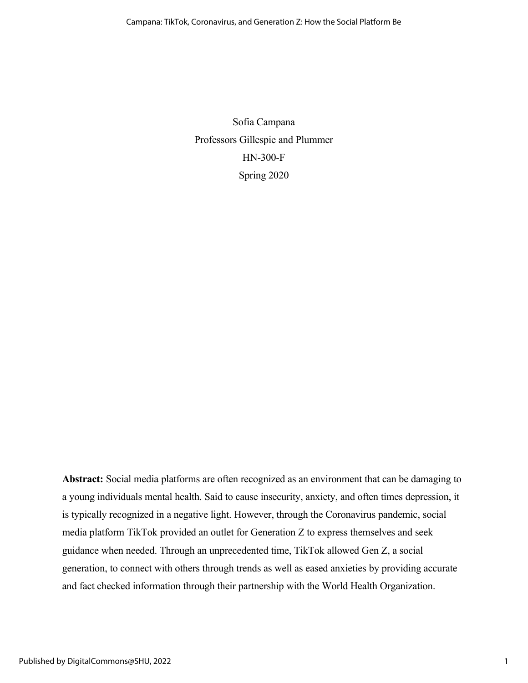Sofia Campana Professors Gillespie and Plummer HN-300-F Spring 2020

**Abstract:** Social media platforms are often recognized as an environment that can be damaging to a young individuals mental health. Said to cause insecurity, anxiety, and often times depression, it is typically recognized in a negative light. However, through the Coronavirus pandemic, social media platform TikTok provided an outlet for Generation Z to express themselves and seek guidance when needed. Through an unprecedented time, TikTok allowed Gen Z, a social generation, to connect with others through trends as well as eased anxieties by providing accurate and fact checked information through their partnership with the World Health Organization.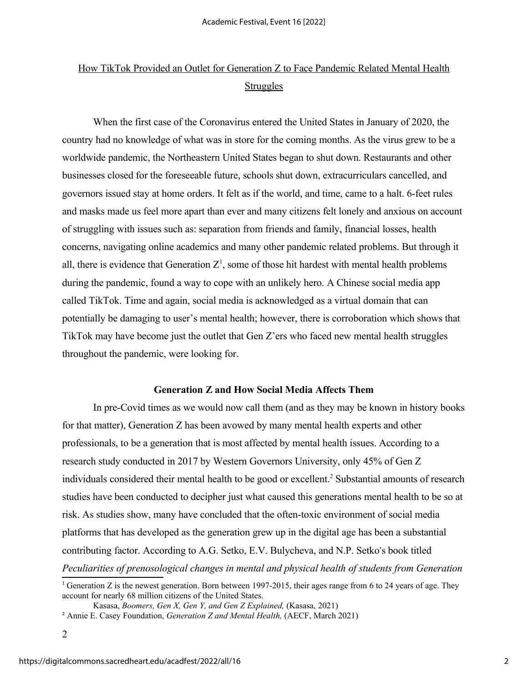# How TikTok Provided an Outlet for Generation Z to Face Pandemic Related Mental Health **Struggles**

When the first case of the Coronavirus entered the United States in January of 2020, the country had no knowledge of what was in store for the coming months. As the virus grew to be a worldwide pandemic, the Northeastern United States began to shut down. Restaurants and other businesses closed for the foreseeable future, schools shut down, extracurriculars cancelled, and governors issued stay at home orders. It felt as if the world, and time, came to a halt. 6-feet rules and masks made us feel more apart than ever and many citizens felt lonely and anxious on account of struggling with issues such as: separation from friends and family, financial losses, health concerns, navigating online academics and many other pandemic related problems. But through it all, there is evidence that Generation  $Z^1$ , some of those hit hardest with mental health problems during the pandemic, found a way to cope with an unlikely hero. A Chinese social media app called TikTok. Time and again, social media is acknowledged as a virtual domain that can potentially be damaging to user's mental health; however, there is corroboration which shows that TikTok may have become just the outlet that Gen Z'ers who faced new mental health struggles throughout the pandemic, were looking for.

## **Generation Z and How Social Media Affects Them**

In pre-Covid times as we would now call them (and as they may be known in history books for that matter), Generation Z has been avowed by many mental health experts and other professionals, to be a generation that is most affected by mental health issues. According to a research study conducted in 2017 by Western Governors University, only 45% of Gen Z individuals considered their mental health to be good or excellent.<sup>2</sup> Substantial amounts of research studies have been conducted to decipher just what caused this generations mental health to be so at risk. As studies show, many have concluded that the often-toxic environment of social media platforms that has developed as the generation grew up in the digital age has been a substantial contributing factor. According to A.G. Setko, E.V. Bulycheva, and N.P. Setko's book titled *Peculiarities of prenosological changes in mental and physical health of students from Generation* 

<sup>&</sup>lt;sup>1</sup> Generation Z is the newest generation. Born between 1997-2015, their ages range from 6 to 24 years of age. They account for nearly 68 million citizens of the United States.

Kasasa, *Boomers, Gen X, Gen Y, and Gen Z Explained,* (Kasasa, 2021)

<sup>2</sup> Annie E. Casey Foundation, *Generation Z and Mental Health,* (AECF, March 2021)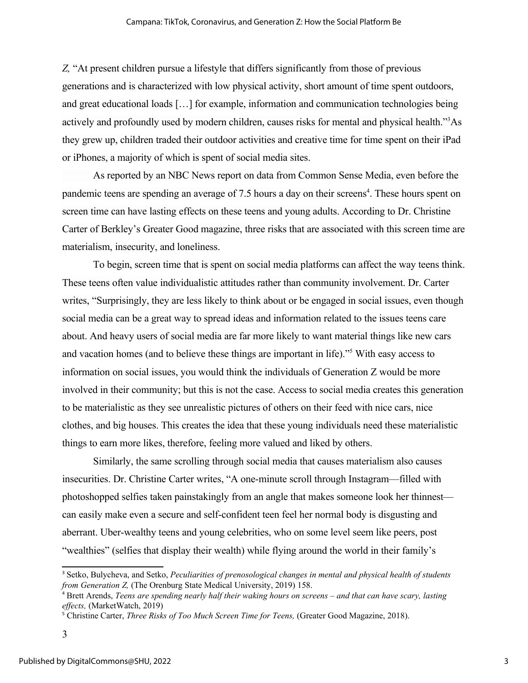*Z,* "At present children pursue a lifestyle that differs significantly from those of previous generations and is characterized with low physical activity, short amount of time spent outdoors, and great educational loads […] for example, information and communication technologies being actively and profoundly used by modern children, causes risks for mental and physical health."<sup>3</sup>As they grew up, children traded their outdoor activities and creative time for time spent on their iPad or iPhones, a majority of which is spent of social media sites.

As reported by an NBC News report on data from Common Sense Media, even before the pandemic teens are spending an average of 7.5 hours a day on their screens<sup>4</sup>. These hours spent on screen time can have lasting effects on these teens and young adults. According to Dr. Christine Carter of Berkley's Greater Good magazine, three risks that are associated with this screen time are materialism, insecurity, and loneliness.

To begin, screen time that is spent on social media platforms can affect the way teens think. These teens often value individualistic attitudes rather than community involvement. Dr. Carter writes, "Surprisingly, they are less likely to think about or be engaged in social issues, even though social media can be a great way to spread ideas and information related to the issues teens care about. And heavy users of social media are far more likely to want material things like new cars and vacation homes (and to believe these things are important in life)."<sup>5</sup> With easy access to information on social issues, you would think the individuals of Generation Z would be more involved in their community; but this is not the case. Access to social media creates this generation to be materialistic as they see unrealistic pictures of others on their feed with nice cars, nice clothes, and big houses. This creates the idea that these young individuals need these materialistic things to earn more likes, therefore, feeling more valued and liked by others.

Similarly, the same scrolling through social media that causes materialism also causes insecurities. Dr. Christine Carter writes, "A one-minute scroll through Instagram—filled with photoshopped selfies taken painstakingly from an angle that makes someone look her thinnest can easily make even a secure and self-confident teen feel her normal body is disgusting and aberrant. Uber-wealthy teens and young celebrities, who on some level seem like peers, post "wealthies" (selfies that display their wealth) while flying around the world in their family's

<sup>3</sup> Setko, Bulycheva, and Setko, *Peculiarities of prenosological changes in mental and physical health of students from Generation Z,* (The Orenburg State Medical University, 2019) 158.

<sup>4</sup> Brett Arends, *Teens are spending nearly half their waking hours on screens – and that can have scary, lasting effects,* (MarketWatch, 2019)

<sup>&</sup>lt;sup>5</sup> Christine Carter, *Three Risks of Too Much Screen Time for Teens*, (Greater Good Magazine, 2018).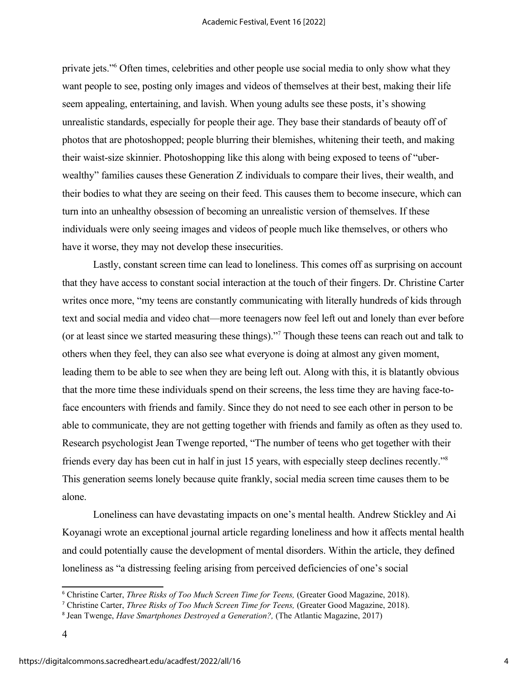private jets."<sup>6</sup> Often times, celebrities and other people use social media to only show what they want people to see, posting only images and videos of themselves at their best, making their life seem appealing, entertaining, and lavish. When young adults see these posts, it's showing unrealistic standards, especially for people their age. They base their standards of beauty off of photos that are photoshopped; people blurring their blemishes, whitening their teeth, and making their waist-size skinnier. Photoshopping like this along with being exposed to teens of "uberwealthy" families causes these Generation Z individuals to compare their lives, their wealth, and their bodies to what they are seeing on their feed. This causes them to become insecure, which can turn into an unhealthy obsession of becoming an unrealistic version of themselves. If these individuals were only seeing images and videos of people much like themselves, or others who have it worse, they may not develop these insecurities.

Lastly, constant screen time can lead to loneliness. This comes off as surprising on account that they have access to constant social interaction at the touch of their fingers. Dr. Christine Carter writes once more, "my teens are constantly communicating with literally hundreds of kids through text and social media and video chat—more teenagers now feel left out and lonely than ever before (or at least since we started measuring these things)."<sup>7</sup> Though these teens can reach out and talk to others when they feel, they can also see what everyone is doing at almost any given moment, leading them to be able to see when they are being left out. Along with this, it is blatantly obvious that the more time these individuals spend on their screens, the less time they are having face-toface encounters with friends and family. Since they do not need to see each other in person to be able to communicate, they are not getting together with friends and family as often as they used to. Research psychologist Jean Twenge reported, "The number of teens who get together with their friends every day has been cut in half in just 15 years, with especially steep declines recently."<sup>8</sup> This generation seems lonely because quite frankly, social media screen time causes them to be alone.

Loneliness can have devastating impacts on one's mental health. Andrew Stickley and Ai Koyanagi wrote an exceptional journal article regarding loneliness and how it affects mental health and could potentially cause the development of mental disorders. Within the article, they defined loneliness as "a distressing feeling arising from perceived deficiencies of one's social

<sup>6</sup> Christine Carter, *Three Risks of Too Much Screen Time for Teens,* (Greater Good Magazine, 2018).

<sup>7</sup> Christine Carter, *Three Risks of Too Much Screen Time for Teens,* (Greater Good Magazine, 2018).

<sup>8</sup> Jean Twenge, *Have Smartphones Destroyed a Generation?,* (The Atlantic Magazine, 2017)

<sup>4</sup>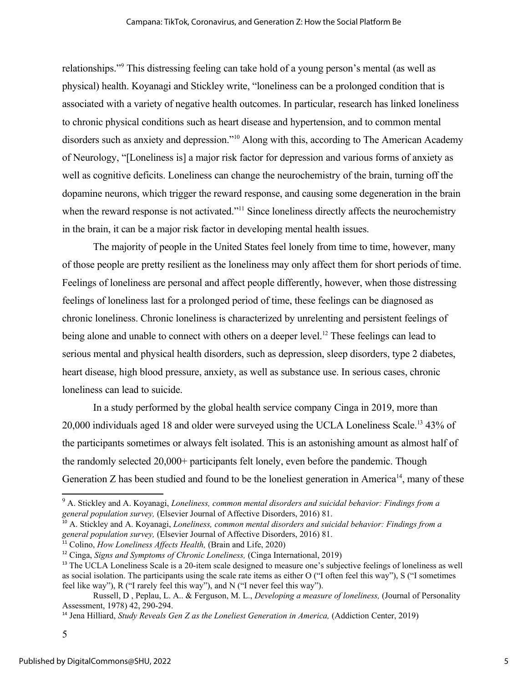relationships."<sup>9</sup> This distressing feeling can take hold of a young person's mental (as well as physical) health. Koyanagi and Stickley write, "loneliness can be a prolonged condition that is associated with a variety of negative health outcomes. In particular, research has linked loneliness to chronic physical conditions such as heart disease and hypertension, and to common mental disorders such as anxiety and depression."<sup>10</sup> Along with this, according to The American Academy of Neurology, "[Loneliness is] a major risk factor for depression and various forms of anxiety as well as cognitive deficits. Loneliness can change the neurochemistry of the brain, turning off the dopamine neurons, which trigger the reward response, and causing some degeneration in the brain when the reward response is not activated."<sup>11</sup> Since loneliness directly affects the neurochemistry in the brain, it can be a major risk factor in developing mental health issues.

The majority of people in the United States feel lonely from time to time, however, many of those people are pretty resilient as the loneliness may only affect them for short periods of time. Feelings of loneliness are personal and affect people differently, however, when those distressing feelings of loneliness last for a prolonged period of time, these feelings can be diagnosed as chronic loneliness. Chronic loneliness is characterized by unrelenting and persistent feelings of being alone and unable to connect with others on a deeper level.<sup>12</sup> These feelings can lead to serious mental and physical health disorders, such as depression, sleep disorders, type 2 diabetes, heart disease, high blood pressure, anxiety, as well as substance use. In serious cases, chronic loneliness can lead to suicide.

In a study performed by the global health service company Cinga in 2019, more than 20,000 individuals aged 18 and older were surveyed using the UCLA Loneliness Scale.<sup>13</sup> 43% of the participants sometimes or always felt isolated. This is an astonishing amount as almost half of the randomly selected 20,000+ participants felt lonely, even before the pandemic. Though Generation  $Z$  has been studied and found to be the loneliest generation in America<sup>14</sup>, many of these

<sup>10</sup> A. Stickley and A. Koyanagi, *Loneliness, common mental disorders and suicidal behavior: Findings from a general population survey,* (Elsevier Journal of Affective Disorders, 2016) 81.

<sup>&</sup>lt;sup>9</sup> A. Stickley and A. Koyanagi, *Loneliness, common mental disorders and suicidal behavior: Findings from a general population survey,* (Elsevier Journal of Affective Disorders, 2016) 81.

<sup>&</sup>lt;sup>11</sup> Colino, *How Loneliness Affects Health*, (Brain and Life, 2020)

<sup>12</sup> Cinga, *Signs and Symptoms of Chronic Loneliness,* (Cinga International, 2019)

<sup>&</sup>lt;sup>13</sup> The UCLA Loneliness Scale is a 20-item scale designed to measure one's subjective feelings of loneliness as well as social isolation. The participants using the scale rate items as either O ("I often feel this way"), S ("I sometimes feel like way"), R ("I rarely feel this way"), and N ("I never feel this way").

Russell, D , Peplau, L. A.. & Ferguson, M. L., *Developing a measure of loneliness,* (Journal of Personality Assessment, 1978) 42, 290-294.

<sup>14</sup> Jena Hilliard, *Study Reveals Gen Z as the Loneliest Generation in America,* (Addiction Center, 2019)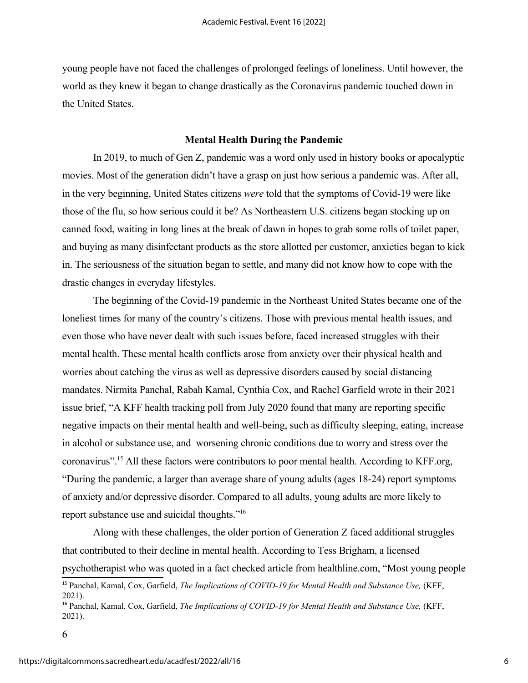young people have not faced the challenges of prolonged feelings of loneliness. Until however, the world as they knew it began to change drastically as the Coronavirus pandemic touched down in the United States.

#### **Mental Health During the Pandemic**

In 2019, to much of Gen Z, pandemic was a word only used in history books or apocalyptic movies. Most of the generation didn't have a grasp on just how serious a pandemic was. After all, in the very beginning, United States citizens *were* told that the symptoms of Covid-19 were like those of the flu, so how serious could it be? As Northeastern U.S. citizens began stocking up on canned food, waiting in long lines at the break of dawn in hopes to grab some rolls of toilet paper, and buying as many disinfectant products as the store allotted per customer, anxieties began to kick in. The seriousness of the situation began to settle, and many did not know how to cope with the drastic changes in everyday lifestyles.

The beginning of the Covid-19 pandemic in the Northeast United States became one of the loneliest times for many of the country's citizens. Those with previous mental health issues, and even those who have never dealt with such issues before, faced increased struggles with their mental health. These mental health conflicts arose from anxiety over their physical health and worries about catching the virus as well as depressive disorders caused by social distancing mandates. Nirmita Panchal, Rabah Kamal, Cynthia Cox, and Rachel Garfield wrote in their 2021 issue brief, "A KFF health tracking poll from July 2020 found that many are reporting specific negative impacts on their mental health and well-being, such as difficulty sleeping, eating, increase in alcohol or substance use, and worsening chronic conditions due to worry and stress over the coronavirus".<sup>15</sup> All these factors were contributors to poor mental health. According to KFF.org, "During the pandemic, a larger than average share of young adults (ages 18-24) report symptoms of anxiety and/or depressive disorder. Compared to all adults, young adults are more likely to report substance use and suicidal thoughts."<sup>16</sup>

Along with these challenges, the older portion of Generation Z faced additional struggles that contributed to their decline in mental health. According to Tess Brigham, a licensed psychotherapist who was quoted in a fact checked article from healthline.com, "Most young people

<sup>&</sup>lt;sup>15</sup> Panchal, Kamal, Cox, Garfield, *The Implications of COVID-19 for Mental Health and Substance Use*, (KFF, 2021).

<sup>&</sup>lt;sup>16</sup> Panchal, Kamal, Cox, Garfield, *The Implications of COVID-19 for Mental Health and Substance Use*, (KFF, 2021).

<sup>6</sup>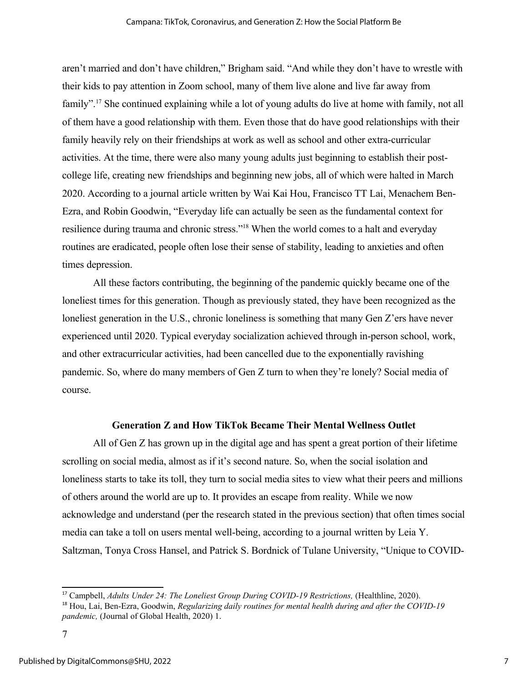aren't married and don't have children," Brigham said. "And while they don't have to wrestle with their kids to pay attention in Zoom school, many of them live alone and live far away from family".<sup>17</sup> She continued explaining while a lot of young adults do live at home with family, not all of them have a good relationship with them. Even those that do have good relationships with their family heavily rely on their friendships at work as well as school and other extra-curricular activities. At the time, there were also many young adults just beginning to establish their postcollege life, creating new friendships and beginning new jobs, all of which were halted in March 2020. According to a journal article written by Wai Kai Hou, Francisco TT Lai, Menachem Ben-Ezra, and Robin Goodwin, "Everyday life can actually be seen as the fundamental context for resilience during trauma and chronic stress."<sup>18</sup> When the world comes to a halt and everyday routines are eradicated, people often lose their sense of stability, leading to anxieties and often times depression.

All these factors contributing, the beginning of the pandemic quickly became one of the loneliest times for this generation. Though as previously stated, they have been recognized as the loneliest generation in the U.S., chronic loneliness is something that many Gen Z'ers have never experienced until 2020. Typical everyday socialization achieved through in-person school, work, and other extracurricular activities, had been cancelled due to the exponentially ravishing pandemic. So, where do many members of Gen Z turn to when they're lonely? Social media of course.

### **Generation Z and How TikTok Became Their Mental Wellness Outlet**

All of Gen Z has grown up in the digital age and has spent a great portion of their lifetime scrolling on social media, almost as if it's second nature. So, when the social isolation and loneliness starts to take its toll, they turn to social media sites to view what their peers and millions of others around the world are up to. It provides an escape from reality. While we now acknowledge and understand (per the research stated in the previous section) that often times social media can take a toll on users mental well-being, according to a journal written by Leia Y. Saltzman, Tonya Cross Hansel, and Patrick S. Bordnick of Tulane University, "Unique to COVID-

<sup>17</sup> Campbell, *Adults Under 24: The Loneliest Group During COVID-19 Restrictions,* (Healthline, 2020).

<sup>18</sup> Hou, Lai, Ben-Ezra, Goodwin, *Regularizing daily routines for mental health during and after the COVID-19 pandemic,* (Journal of Global Health, 2020) 1.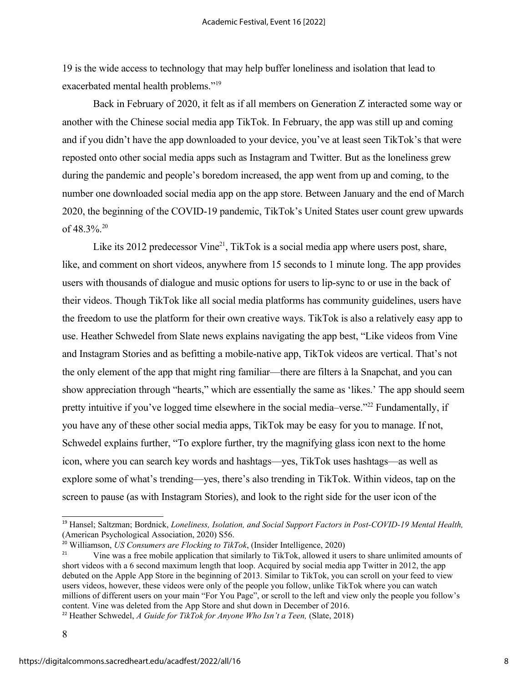19 is the wide access to technology that may help buffer loneliness and isolation that lead to exacerbated mental health problems."<sup>19</sup>

Back in February of 2020, it felt as if all members on Generation Z interacted some way or another with the Chinese social media app TikTok. In February, the app was still up and coming and if you didn't have the app downloaded to your device, you've at least seen TikTok's that were reposted onto other social media apps such as Instagram and Twitter. But as the loneliness grew during the pandemic and people's boredom increased, the app went from up and coming, to the number one downloaded social media app on the app store. Between January and the end of March 2020, the beginning of the COVID-19 pandemic, TikTok's United States user count grew upwards of  $48.3\%$ <sup>20</sup>

Like its 2012 predecessor Vine<sup>21</sup>, TikTok is a social media app where users post, share, like, and comment on short videos, anywhere from 15 seconds to 1 minute long. The app provides users with thousands of dialogue and music options for users to lip-sync to or use in the back of their videos. Though TikTok like all social media platforms has community guidelines, users have the freedom to use the platform for their own creative ways. TikTok is also a relatively easy app to use. Heather Schwedel from Slate news explains navigating the app best, "Like videos from Vine and Instagram Stories and as befitting a mobile-native app, TikTok videos are vertical. That's not the only element of the app that might ring familiar—there are filters à la Snapchat, and you can show appreciation through "hearts," which are essentially the same as 'likes.' The app should seem pretty intuitive if you've logged time elsewhere in the social media–verse."<sup>22</sup> Fundamentally, if you have any of these other social media apps, TikTok may be easy for you to manage. If not, Schwedel explains further, "To explore further, try the magnifying glass icon next to the home icon, where you can search key words and hashtags—yes, TikTok uses hashtags—as well as explore some of what's trending—yes, there's also trending in TikTok. Within videos, tap on the screen to pause (as with Instagram Stories), and look to the right side for the user icon of the

<sup>19</sup> Hansel; Saltzman; Bordnick, *Loneliness, Isolation, and Social Support Factors in Post-COVID-19 Mental Health,* (American Psychological Association, 2020) S56.

<sup>&</sup>lt;sup>20</sup> Williamson, *US Consumers are Flocking to TikTok*, (Insider Intelligence, 2020)

<sup>21</sup> Vine was a free mobile application that similarly to TikTok, allowed it users to share unlimited amounts of short videos with a 6 second maximum length that loop. Acquired by social media app Twitter in 2012, the app debuted on the Apple App Store in the beginning of 2013. Similar to TikTok, you can scroll on your feed to view users videos, however, these videos were only of the people you follow, unlike TikTok where you can watch millions of different users on your main "For You Page", or scroll to the left and view only the people you follow's content. Vine was deleted from the App Store and shut down in December of 2016.

<sup>&</sup>lt;sup>22</sup> Heather Schwedel, *A Guide for TikTok for Anyone Who Isn't a Teen*, (Slate, 2018)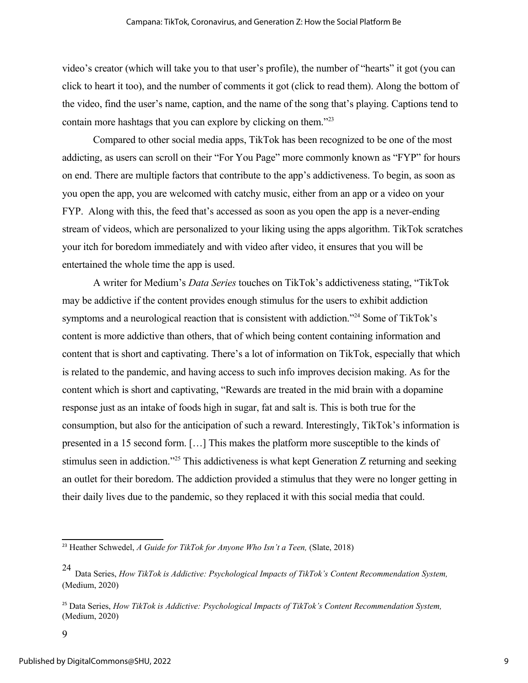video's creator (which will take you to that user's profile), the number of "hearts" it got (you can click to heart it too), and the number of comments it got (click to read them). Along the bottom of the video, find the user's name, caption, and the name of the song that's playing. Captions tend to contain more hashtags that you can explore by clicking on them."<sup>23</sup>

Compared to other social media apps, TikTok has been recognized to be one of the most addicting, as users can scroll on their "For You Page" more commonly known as "FYP" for hours on end. There are multiple factors that contribute to the app's addictiveness. To begin, as soon as you open the app, you are welcomed with catchy music, either from an app or a video on your FYP. Along with this, the feed that's accessed as soon as you open the app is a never-ending stream of videos, which are personalized to your liking using the apps algorithm. TikTok scratches your itch for boredom immediately and with video after video, it ensures that you will be entertained the whole time the app is used.

A writer for Medium's *Data Series* touches on TikTok's addictiveness stating, "TikTok may be addictive if the content provides enough stimulus for the users to exhibit addiction symptoms and a neurological reaction that is consistent with addiction."<sup>24</sup> Some of TikTok's content is more addictive than others, that of which being content containing information and content that is short and captivating. There's a lot of information on TikTok, especially that which is related to the pandemic, and having access to such info improves decision making. As for the content which is short and captivating, "Rewards are treated in the mid brain with a dopamine response just as an intake of foods high in sugar, fat and salt is. This is both true for the consumption, but also for the anticipation of such a reward. Interestingly, TikTok's information is presented in a 15 second form. […] This makes the platform more susceptible to the kinds of stimulus seen in addiction."<sup>25</sup> This addictiveness is what kept Generation Z returning and seeking an outlet for their boredom. The addiction provided a stimulus that they were no longer getting in their daily lives due to the pandemic, so they replaced it with this social media that could.

<sup>&</sup>lt;sup>23</sup> Heather Schwedel, *A Guide for TikTok for Anyone Who Isn't a Teen*, (Slate, 2018)

<sup>24</sup> Data Series, *How TikTok is Addictive: Psychological Impacts of TikTok's Content Recommendation System,*  (Medium, 2020)

<sup>25</sup> Data Series, *How TikTok is Addictive: Psychological Impacts of TikTok's Content Recommendation System,*  (Medium, 2020)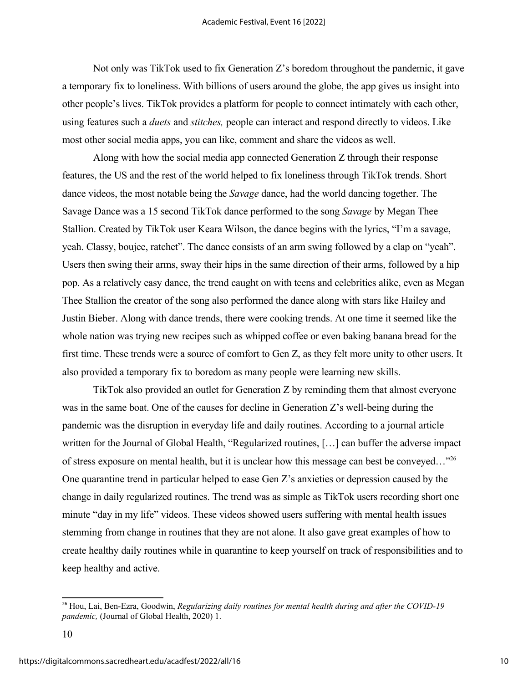Not only was TikTok used to fix Generation Z's boredom throughout the pandemic, it gave a temporary fix to loneliness. With billions of users around the globe, the app gives us insight into other people's lives. TikTok provides a platform for people to connect intimately with each other, using features such a *duets* and *stitches,* people can interact and respond directly to videos. Like most other social media apps, you can like, comment and share the videos as well.

Along with how the social media app connected Generation Z through their response features, the US and the rest of the world helped to fix loneliness through TikTok trends. Short dance videos, the most notable being the *Savage* dance, had the world dancing together. The Savage Dance was a 15 second TikTok dance performed to the song *Savage* by Megan Thee Stallion. Created by TikTok user Keara Wilson, the dance begins with the lyrics, "I'm a savage, yeah. Classy, boujee, ratchet". The dance consists of an arm swing followed by a clap on "yeah". Users then swing their arms, sway their hips in the same direction of their arms, followed by a hip pop. As a relatively easy dance, the trend caught on with teens and celebrities alike, even as Megan Thee Stallion the creator of the song also performed the dance along with stars like Hailey and Justin Bieber. Along with dance trends, there were cooking trends. At one time it seemed like the whole nation was trying new recipes such as whipped coffee or even baking banana bread for the first time. These trends were a source of comfort to Gen Z, as they felt more unity to other users. It also provided a temporary fix to boredom as many people were learning new skills.

TikTok also provided an outlet for Generation Z by reminding them that almost everyone was in the same boat. One of the causes for decline in Generation Z's well-being during the pandemic was the disruption in everyday life and daily routines. According to a journal article written for the Journal of Global Health, "Regularized routines, […] can buffer the adverse impact of stress exposure on mental health, but it is unclear how this message can best be conveyed…"<sup>26</sup> One quarantine trend in particular helped to ease Gen Z's anxieties or depression caused by the change in daily regularized routines. The trend was as simple as TikTok users recording short one minute "day in my life" videos. These videos showed users suffering with mental health issues stemming from change in routines that they are not alone. It also gave great examples of how to create healthy daily routines while in quarantine to keep yourself on track of responsibilities and to keep healthy and active.

<sup>26</sup> Hou, Lai, Ben-Ezra, Goodwin, *Regularizing daily routines for mental health during and after the COVID-19 pandemic,* (Journal of Global Health, 2020) 1.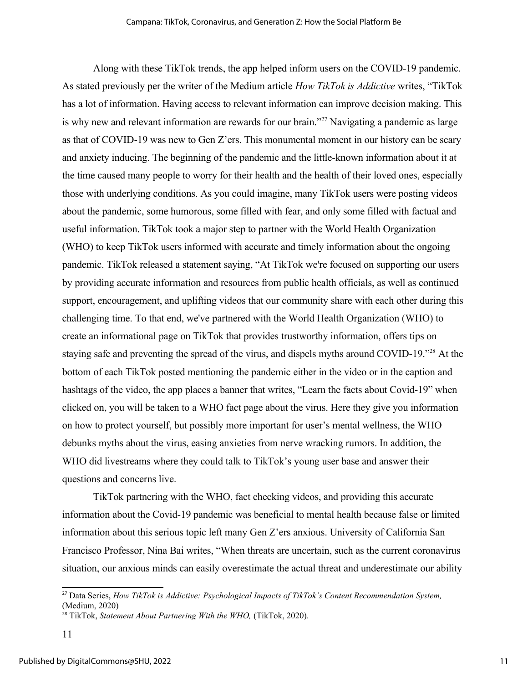Along with these TikTok trends, the app helped inform users on the COVID-19 pandemic. As stated previously per the writer of the Medium article *How TikTok is Addictive* writes, "TikTok has a lot of information. Having access to relevant information can improve decision making. This is why new and relevant information are rewards for our brain."<sup>27</sup> Navigating a pandemic as large as that of COVID-19 was new to Gen Z'ers. This monumental moment in our history can be scary and anxiety inducing. The beginning of the pandemic and the little-known information about it at the time caused many people to worry for their health and the health of their loved ones, especially those with underlying conditions. As you could imagine, many TikTok users were posting videos about the pandemic, some humorous, some filled with fear, and only some filled with factual and useful information. TikTok took a major step to partner with the World Health Organization (WHO) to keep TikTok users informed with accurate and timely information about the ongoing pandemic. TikTok released a statement saying, "At TikTok we're focused on supporting our users by providing accurate information and resources from public health officials, as well as continued support, encouragement, and uplifting videos that our community share with each other during this challenging time. To that end, we've partnered with the World Health Organization (WHO) to create an informational page on TikTok that provides trustworthy information, offers tips on staying safe and preventing the spread of the virus, and dispels myths around COVID-19."<sup>28</sup> At the bottom of each TikTok posted mentioning the pandemic either in the video or in the caption and hashtags of the video, the app places a banner that writes, "Learn the facts about Covid-19" when clicked on, you will be taken to a WHO fact page about the virus. Here they give you information on how to protect yourself, but possibly more important for user's mental wellness, the WHO debunks myths about the virus, easing anxieties from nerve wracking rumors. In addition, the WHO did livestreams where they could talk to TikTok's young user base and answer their questions and concerns live.

TikTok partnering with the WHO, fact checking videos, and providing this accurate information about the Covid-19 pandemic was beneficial to mental health because false or limited information about this serious topic left many Gen Z'ers anxious. University of California San Francisco Professor, Nina Bai writes, "When threats are uncertain, such as the current coronavirus situation, our anxious minds can easily overestimate the actual threat and underestimate our ability

<sup>27</sup> Data Series, *How TikTok is Addictive: Psychological Impacts of TikTok's Content Recommendation System,*  (Medium, 2020)

<sup>28</sup> TikTok, *Statement About Partnering With the WHO,* (TikTok, 2020).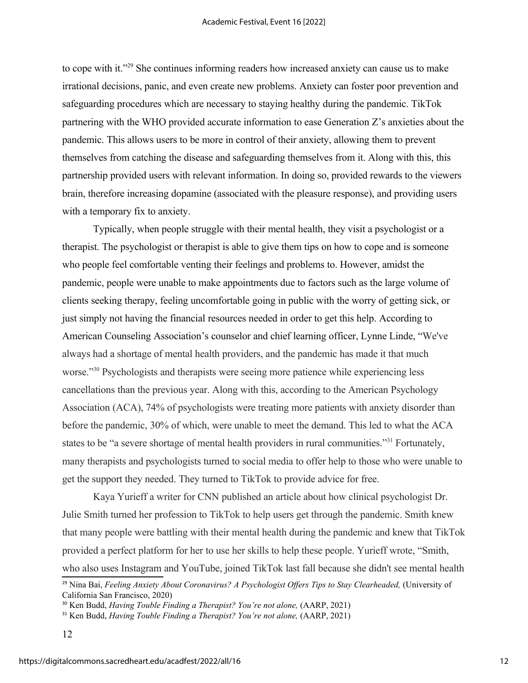to cope with it."<sup>29</sup> She continues informing readers how increased anxiety can cause us to make irrational decisions, panic, and even create new problems. Anxiety can foster poor prevention and safeguarding procedures which are necessary to staying healthy during the pandemic. TikTok partnering with the WHO provided accurate information to ease Generation Z's anxieties about the pandemic. This allows users to be more in control of their anxiety, allowing them to prevent themselves from catching the disease and safeguarding themselves from it. Along with this, this partnership provided users with relevant information. In doing so, provided rewards to the viewers brain, therefore increasing dopamine (associated with the pleasure response), and providing users with a temporary fix to anxiety.

Typically, when people struggle with their mental health, they visit a psychologist or a therapist. The psychologist or therapist is able to give them tips on how to cope and is someone who people feel comfortable venting their feelings and problems to. However, amidst the pandemic, people were unable to make appointments due to factors such as the large volume of clients seeking therapy, feeling uncomfortable going in public with the worry of getting sick, or just simply not having the financial resources needed in order to get this help. According to American Counseling Association's counselor and chief learning officer, Lynne Linde, "We've always had a shortage of mental health providers, and the pandemic has made it that much worse."<sup>30</sup> Psychologists and therapists were seeing more patience while experiencing less cancellations than the previous year. Along with this, according to the American Psychology Association (ACA), 74% of psychologists were treating more patients with anxiety disorder than before the pandemic, 30% of which, were unable to meet the demand. This led to what the ACA states to be "a severe shortage of mental health providers in rural communities."<sup>31</sup> Fortunately, many therapists and psychologists turned to social media to offer help to those who were unable to get the support they needed. They turned to TikTok to provide advice for free.

Kaya Yurieff a writer for CNN published an article about how clinical psychologist Dr. Julie Smith turned her profession to TikTok to help users get through the pandemic. Smith knew that many people were battling with their mental health during the pandemic and knew that TikTok provided a perfect platform for her to use her skills to help these people. Yurieff wrote, "Smith, who also uses Instagram and YouTube, joined TikTok last fall because she didn't see mental health

<sup>&</sup>lt;sup>29</sup> Nina Bai, *Feeling Anxiety About Coronavirus? A Psychologist Offers Tips to Stay Clearheaded, (University of* California San Francisco, 2020)

<sup>&</sup>lt;sup>30</sup> Ken Budd, *Having Touble Finding a Therapist? You're not alone*, (AARP, 2021)

<sup>&</sup>lt;sup>31</sup> Ken Budd, *Having Touble Finding a Therapist? You're not alone*, (AARP, 2021)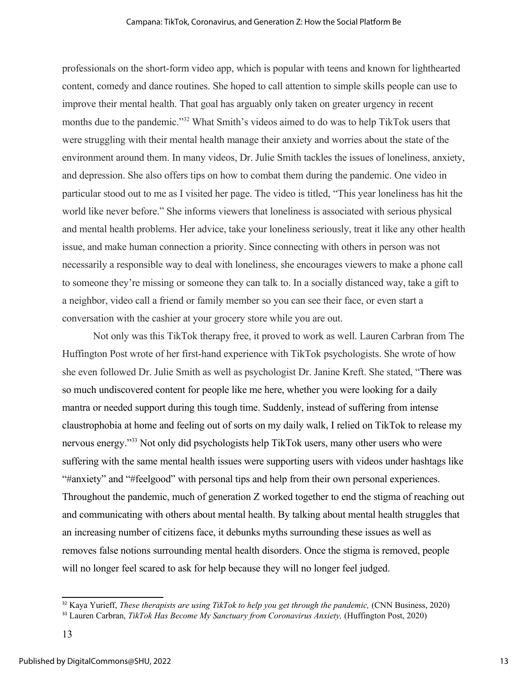professionals on the short-form video app, which is popular with teens and known for lighthearted content, comedy and dance routines. She hoped to call attention to simple skills people can use to improve their mental health. That goal has arguably only taken on greater urgency in recent months due to the pandemic."<sup>32</sup> What Smith's videos aimed to do was to help TikTok users that were struggling with their mental health manage their anxiety and worries about the state of the environment around them. In many videos, Dr. Julie Smith tackles the issues of loneliness, anxiety, and depression. She also offers tips on how to combat them during the pandemic. One video in particular stood out to me as I visited her page. The video is titled, "This year loneliness has hit the world like never before." She informs viewers that loneliness is associated with serious physical and mental health problems. Her advice, take your loneliness seriously, treat it like any other health issue, and make human connection a priority. Since connecting with others in person was not necessarily a responsible way to deal with loneliness, she encourages viewers to make a phone call to someone they're missing or someone they can talk to. In a socially distanced way, take a gift to a neighbor, video call a friend or family member so you can see their face, or even start a conversation with the cashier at your grocery store while you are out.

Not only was this TikTok therapy free, it proved to work as well. Lauren Carbran from The Huffington Post wrote of her first-hand experience with TikTok psychologists. She wrote of how she even followed Dr. Julie Smith as well as psychologist Dr. Janine Kreft. She stated, "There was so much undiscovered content for people like me here, whether you were looking for a daily mantra or needed support during this tough time. Suddenly, instead of suffering from intense claustrophobia at home and feeling out of sorts on my daily walk, I relied on TikTok to release my nervous energy."<sup>33</sup> Not only did psychologists help TikTok users, many other users who were suffering with the same mental health issues were supporting users with videos under hashtags like "#anxiety" and "#feelgood" with personal tips and help from their own personal experiences. Throughout the pandemic, much of generation Z worked together to end the stigma of reaching out and communicating with others about mental health. By talking about mental health struggles that an increasing number of citizens face, it debunks myths surrounding these issues as well as removes false notions surrounding mental health disorders. Once the stigma is removed, people will no longer feel scared to ask for help because they will no longer feel judged.

<sup>&</sup>lt;sup>32</sup> Kaya Yurieff, *These therapists are using TikTok to help you get through the pandemic, (CNN Business, 2020)* 

<sup>&</sup>lt;sup>33</sup> Lauren Carbran, *TikTok Has Become My Sanctuary from Coronavirus Anxiety*, (Huffington Post, 2020)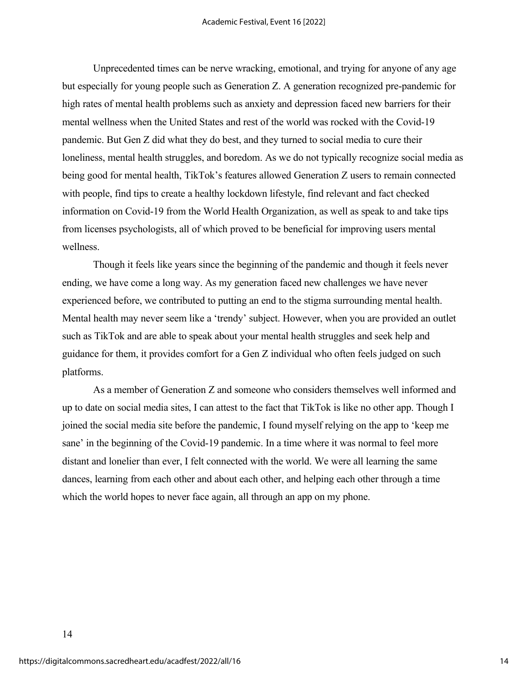Unprecedented times can be nerve wracking, emotional, and trying for anyone of any age but especially for young people such as Generation Z. A generation recognized pre-pandemic for high rates of mental health problems such as anxiety and depression faced new barriers for their mental wellness when the United States and rest of the world was rocked with the Covid-19 pandemic. But Gen Z did what they do best, and they turned to social media to cure their loneliness, mental health struggles, and boredom. As we do not typically recognize social media as being good for mental health, TikTok's features allowed Generation Z users to remain connected with people, find tips to create a healthy lockdown lifestyle, find relevant and fact checked information on Covid-19 from the World Health Organization, as well as speak to and take tips from licenses psychologists, all of which proved to be beneficial for improving users mental wellness.

Though it feels like years since the beginning of the pandemic and though it feels never ending, we have come a long way. As my generation faced new challenges we have never experienced before, we contributed to putting an end to the stigma surrounding mental health. Mental health may never seem like a 'trendy' subject. However, when you are provided an outlet such as TikTok and are able to speak about your mental health struggles and seek help and guidance for them, it provides comfort for a Gen Z individual who often feels judged on such platforms.

As a member of Generation Z and someone who considers themselves well informed and up to date on social media sites, I can attest to the fact that TikTok is like no other app. Though I joined the social media site before the pandemic, I found myself relying on the app to 'keep me sane' in the beginning of the Covid-19 pandemic. In a time where it was normal to feel more distant and lonelier than ever, I felt connected with the world. We were all learning the same dances, learning from each other and about each other, and helping each other through a time which the world hopes to never face again, all through an app on my phone.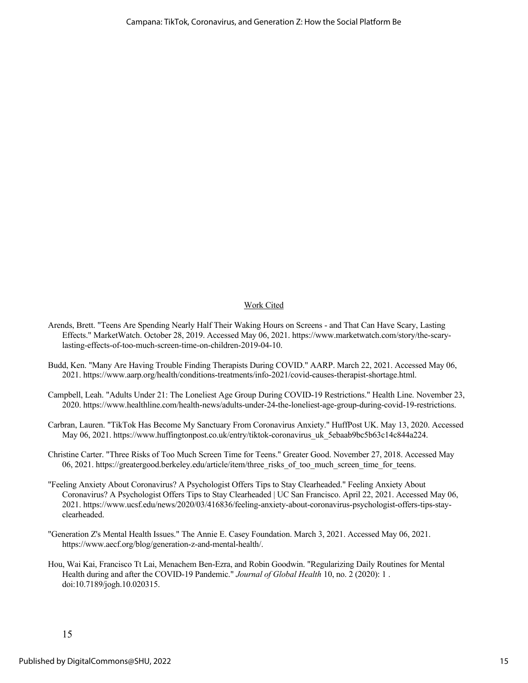#### Work Cited

- Arends, Brett. "Teens Are Spending Nearly Half Their Waking Hours on Screens and That Can Have Scary, Lasting Effects." MarketWatch. October 28, 2019. Accessed May 06, 2021. https://www.marketwatch.com/story/the-scarylasting-effects-of-too-much-screen-time-on-children-2019-04-10.
- Budd, Ken. "Many Are Having Trouble Finding Therapists During COVID." AARP. March 22, 2021. Accessed May 06, 2021. https://www.aarp.org/health/conditions-treatments/info-2021/covid-causes-therapist-shortage.html.
- Campbell, Leah. "Adults Under 21: The Loneliest Age Group During COVID-19 Restrictions." Health Line. November 23, 2020. https://www.healthline.com/health-news/adults-under-24-the-loneliest-age-group-during-covid-19-restrictions.
- Carbran, Lauren. "TikTok Has Become My Sanctuary From Coronavirus Anxiety." HuffPost UK. May 13, 2020. Accessed May 06, 2021. https://www.huffingtonpost.co.uk/entry/tiktok-coronavirus\_uk\_5ebaab9bc5b63c14c844a224.
- Christine Carter. "Three Risks of Too Much Screen Time for Teens." Greater Good. November 27, 2018. Accessed May 06, 2021. https://greatergood.berkeley.edu/article/item/three\_risks\_of\_too\_much\_screen\_time\_for\_teens.
- "Feeling Anxiety About Coronavirus? A Psychologist Offers Tips to Stay Clearheaded." Feeling Anxiety About Coronavirus? A Psychologist Offers Tips to Stay Clearheaded | UC San Francisco. April 22, 2021. Accessed May 06, 2021. https://www.ucsf.edu/news/2020/03/416836/feeling-anxiety-about-coronavirus-psychologist-offers-tips-stayclearheaded.
- "Generation Z's Mental Health Issues." The Annie E. Casey Foundation. March 3, 2021. Accessed May 06, 2021. https://www.aecf.org/blog/generation-z-and-mental-health/.
- Hou, Wai Kai, Francisco Tt Lai, Menachem Ben-Ezra, and Robin Goodwin. "Regularizing Daily Routines for Mental Health during and after the COVID-19 Pandemic." *Journal of Global Health* 10, no. 2 (2020): 1 . doi:10.7189/jogh.10.020315.